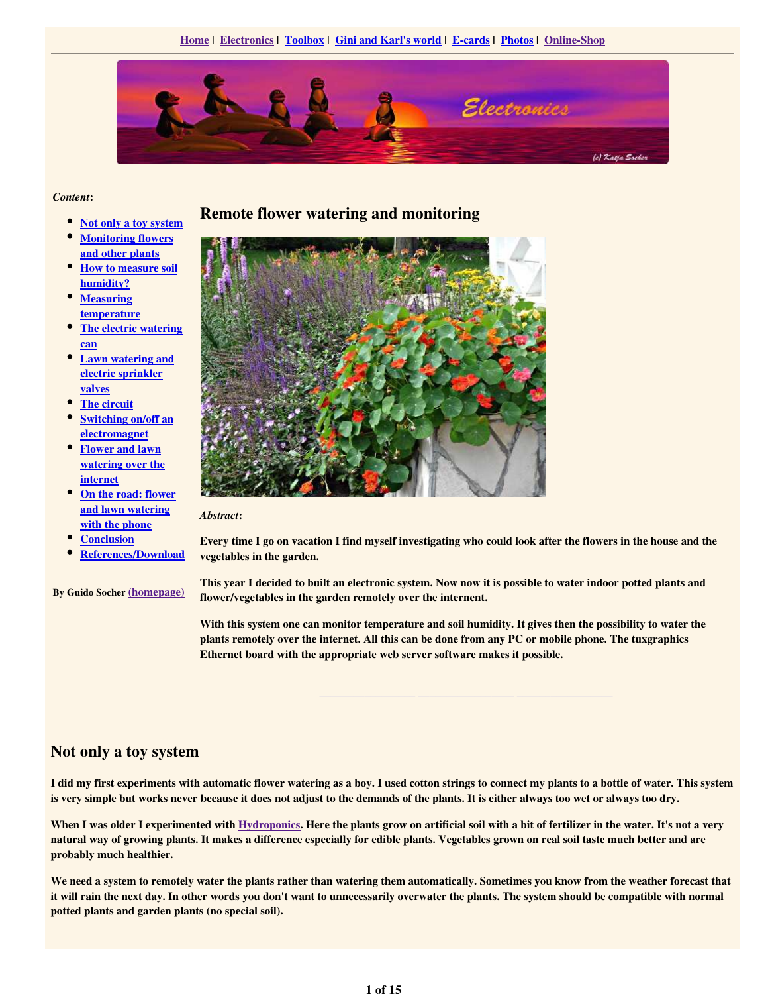

#### *Content*:

- $\bullet$ Not only a toy system
- Monitoring flowers and other plants
- $\bullet$ How to measure soil humidity?
- $\bullet$ **Measuring** temperature
- The electric watering can
- Lawn watering and electric sprinkler valves
- The circuit
- $\bullet$ Switching on/off an electromagnet
- Flower and lawn watering over the internet
- On the road: flower and lawn watering with the phone
- **Conclusion**
- References/Download
- By Guido Socher (homepage)

### Remote flower watering and monitoring



*Abstract*:

Every time I go on vacation I find myself investigating who could look after the flowers in the house and the vegetables in the garden.

This year I decided to built an electronic system. Now now it is possible to water indoor potted plants and flower/vegetables in the garden remotely over the internent.

With this system one can monitor temperature and soil humidity. It gives then the possibility to water the plants remotely over the internet. All this can be done from any PC or mobile phone. The tuxgraphics Ethernet board with the appropriate web server software makes it possible.

\_\_\_\_\_\_\_\_\_\_\_\_\_\_\_\_\_ \_\_\_\_\_\_\_\_\_\_\_\_\_\_\_\_\_ \_\_\_\_\_\_\_\_\_\_\_\_\_\_\_\_\_

### Not only a toy system

I did my first experiments with automatic flower watering as a boy. I used cotton strings to connect my plants to a bottle of water. This system is very simple but works never because it does not adjust to the demands of the plants. It is either always too wet or always too dry.

When I was older I experimented with Hydroponics. Here the plants grow on artificial soil with a bit of fertilizer in the water. It's not a very natural way of growing plants. It makes a difference especially for edible plants. Vegetables grown on real soil taste much better and are probably much healthier.

We need a system to remotely water the plants rather than watering them automatically. Sometimes you know from the weather forecast that it will rain the next day. In other words you don't want to unnecessarily overwater the plants. The system should be compatible with normal potted plants and garden plants (no special soil).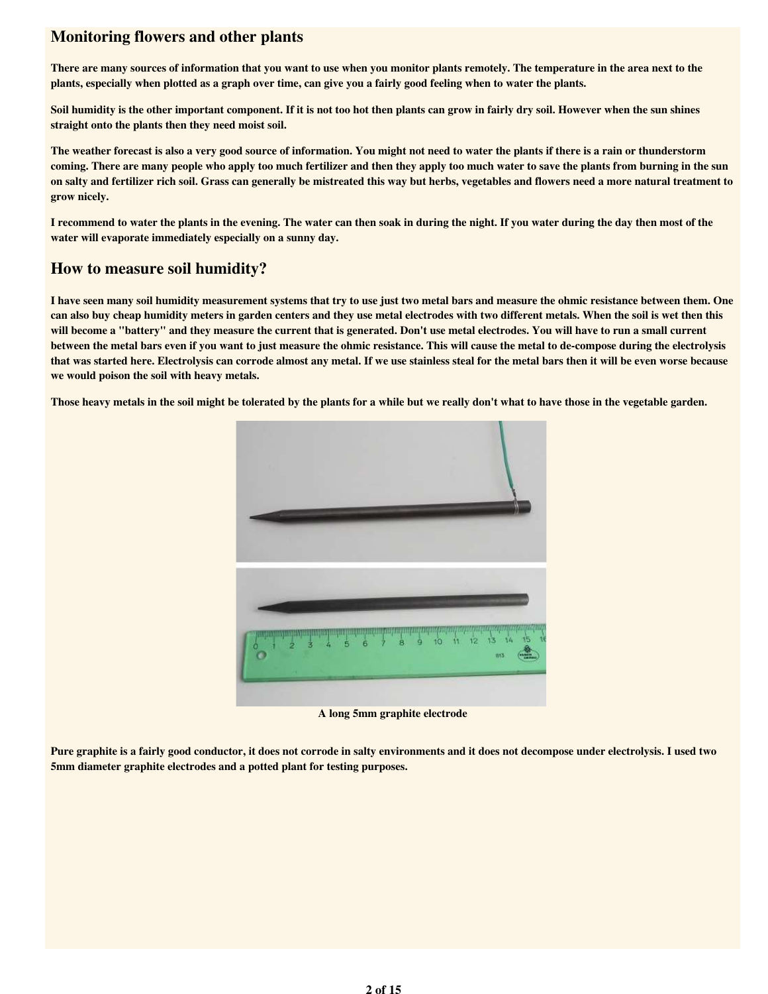## Monitoring flowers and other plants

There are many sources of information that you want to use when you monitor plants remotely. The temperature in the area next to the plants, especially when plotted as a graph over time, can give you a fairly good feeling when to water the plants.

Soil humidity is the other important component. If it is not too hot then plants can grow in fairly dry soil. However when the sun shines straight onto the plants then they need moist soil.

The weather forecast is also a very good source of information. You might not need to water the plants if there is a rain or thunderstorm coming. There are many people who apply too much fertilizer and then they apply too much water to save the plants from burning in the sun on salty and fertilizer rich soil. Grass can generally be mistreated this way but herbs, vegetables and flowers need a more natural treatment to grow nicely.

I recommend to water the plants in the evening. The water can then soak in during the night. If you water during the day then most of the water will evaporate immediately especially on a sunny day.

## How to measure soil humidity?

I have seen many soil humidity measurement systems that try to use just two metal bars and measure the ohmic resistance between them. One can also buy cheap humidity meters in garden centers and they use metal electrodes with two different metals. When the soil is wet then this will become a "battery" and they measure the current that is generated. Don't use metal electrodes. You will have to run a small current between the metal bars even if you want to just measure the ohmic resistance. This will cause the metal to de-compose during the electrolysis that was started here. Electrolysis can corrode almost any metal. If we use stainless steal for the metal bars then it will be even worse because we would poison the soil with heavy metals.

Those heavy metals in the soil might be tolerated by the plants for a while but we really don't what to have those in the vegetable garden.



A long 5mm graphite electrode

Pure graphite is a fairly good conductor, it does not corrode in salty environments and it does not decompose under electrolysis. I used two 5mm diameter graphite electrodes and a potted plant for testing purposes.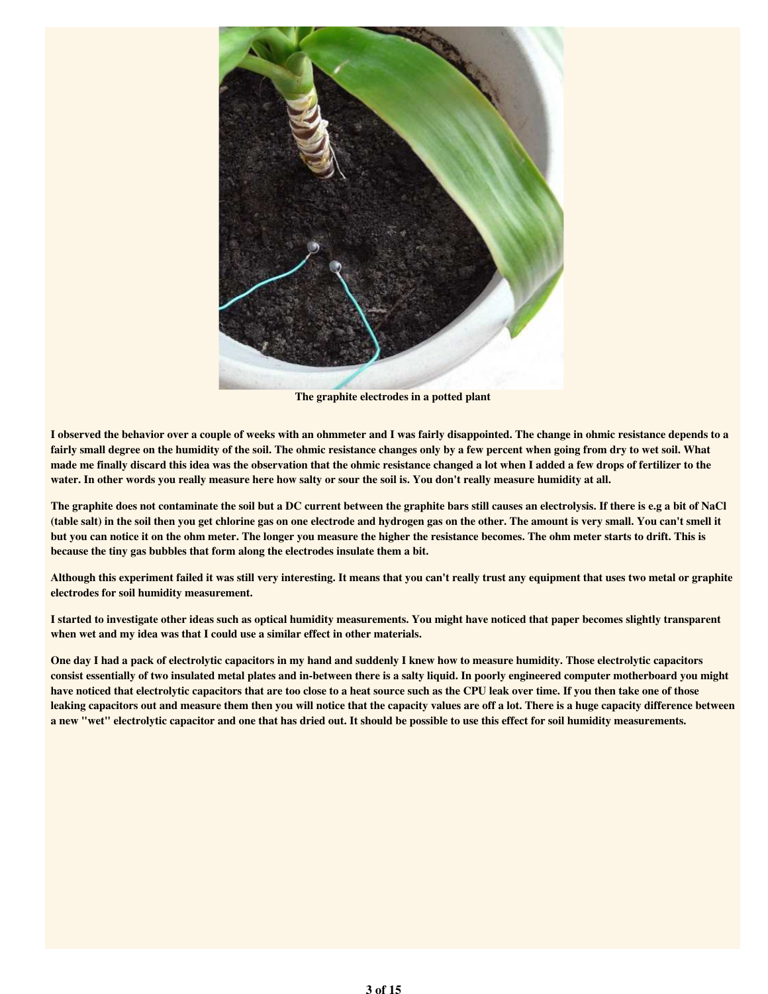

The graphite electrodes in a potted plant

I observed the behavior over a couple of weeks with an ohmmeter and I was fairly disappointed. The change in ohmic resistance depends to a fairly small degree on the humidity of the soil. The ohmic resistance changes only by a few percent when going from dry to wet soil. What made me finally discard this idea was the observation that the ohmic resistance changed a lot when I added a few drops of fertilizer to the water. In other words you really measure here how salty or sour the soil is. You don't really measure humidity at all.

The graphite does not contaminate the soil but a DC current between the graphite bars still causes an electrolysis. If there is e.g a bit of NaCl (table salt) in the soil then you get chlorine gas on one electrode and hydrogen gas on the other. The amount is very small. You can't smell it but you can notice it on the ohm meter. The longer you measure the higher the resistance becomes. The ohm meter starts to drift. This is because the tiny gas bubbles that form along the electrodes insulate them a bit.

Although this experiment failed it was still very interesting. It means that you can't really trust any equipment that uses two metal or graphite electrodes for soil humidity measurement.

I started to investigate other ideas such as optical humidity measurements. You might have noticed that paper becomes slightly transparent when wet and my idea was that I could use a similar effect in other materials.

One day I had a pack of electrolytic capacitors in my hand and suddenly I knew how to measure humidity. Those electrolytic capacitors consist essentially of two insulated metal plates and in-between there is a salty liquid. In poorly engineered computer motherboard you might have noticed that electrolytic capacitors that are too close to a heat source such as the CPU leak over time. If you then take one of those leaking capacitors out and measure them then you will notice that the capacity values are off a lot. There is a huge capacity difference between a new "wet" electrolytic capacitor and one that has dried out. It should be possible to use this effect for soil humidity measurements.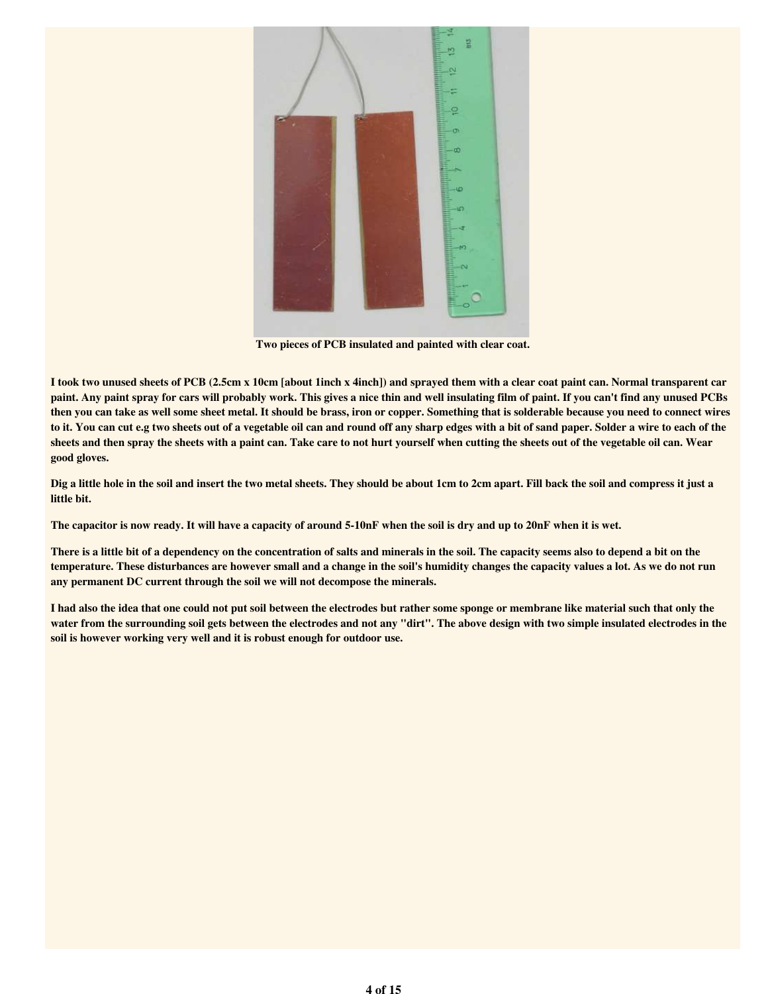

Two pieces of PCB insulated and painted with clear coat.

I took two unused sheets of PCB (2.5cm x 10cm [about 1inch x 4inch]) and sprayed them with a clear coat paint can. Normal transparent car paint. Any paint spray for cars will probably work. This gives a nice thin and well insulating film of paint. If you can't find any unused PCBs then you can take as well some sheet metal. It should be brass, iron or copper. Something that is solderable because you need to connect wires to it. You can cut e.g two sheets out of a vegetable oil can and round off any sharp edges with a bit of sand paper. Solder a wire to each of the sheets and then spray the sheets with a paint can. Take care to not hurt yourself when cutting the sheets out of the vegetable oil can. Wear good gloves.

Dig a little hole in the soil and insert the two metal sheets. They should be about 1cm to 2cm apart. Fill back the soil and compress it just a little bit.

The capacitor is now ready. It will have a capacity of around 5-10nF when the soil is dry and up to 20nF when it is wet.

There is a little bit of a dependency on the concentration of salts and minerals in the soil. The capacity seems also to depend a bit on the temperature. These disturbances are however small and a change in the soil's humidity changes the capacity values a lot. As we do not run any permanent DC current through the soil we will not decompose the minerals.

I had also the idea that one could not put soil between the electrodes but rather some sponge or membrane like material such that only the water from the surrounding soil gets between the electrodes and not any "dirt". The above design with two simple insulated electrodes in the soil is however working very well and it is robust enough for outdoor use.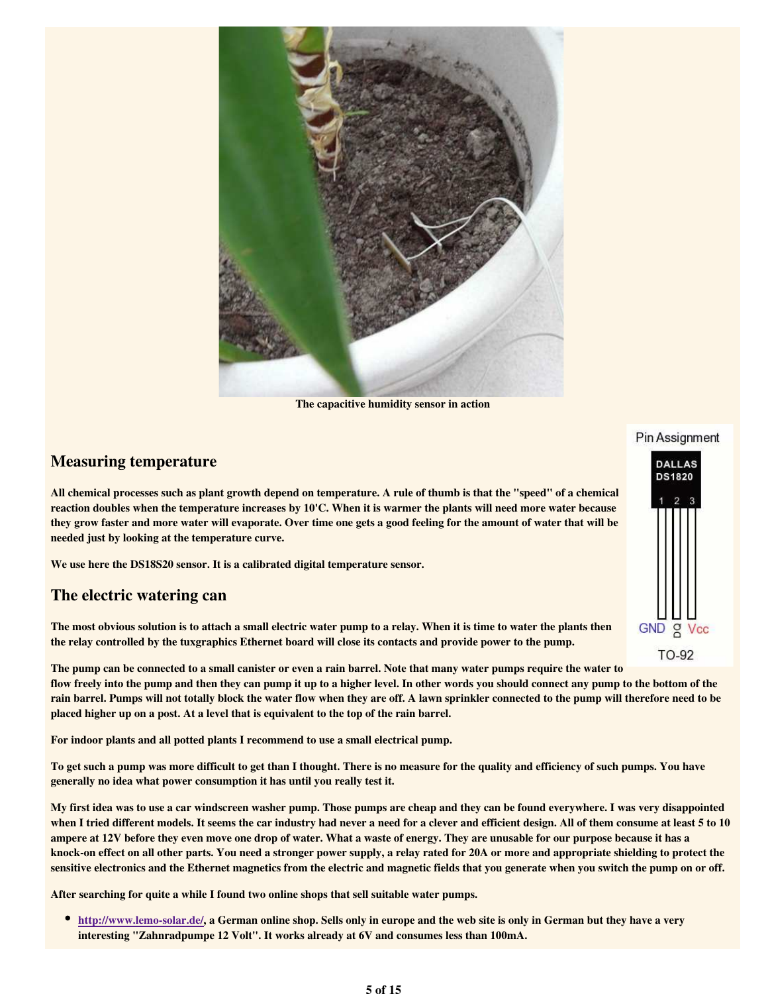

The capacitive humidity sensor in action

### Measuring temperature

All chemical processes such as plant growth depend on temperature. A rule of thumb is that the "speed" of a chemical reaction doubles when the temperature increases by 10'C. When it is warmer the plants will need more water because they grow faster and more water will evaporate. Over time one gets a good feeling for the amount of water that will be needed just by looking at the temperature curve.

We use here the DS18S20 sensor. It is a calibrated digital temperature sensor.

#### The electric watering can

The most obvious solution is to attach a small electric water pump to a relay. When it is time to water the plants then the relay controlled by the tuxgraphics Ethernet board will close its contacts and provide power to the pump.

The pump can be connected to a small canister or even a rain barrel. Note that many water pumps require the water to flow freely into the pump and then they can pump it up to a higher level. In other words you should connect any pump to the bottom of the rain barrel. Pumps will not totally block the water flow when they are off. A lawn sprinkler connected to the pump will therefore need to be placed higher up on a post. At a level that is equivalent to the top of the rain barrel.

For indoor plants and all potted plants I recommend to use a small electrical pump.

To get such a pump was more difficult to get than I thought. There is no measure for the quality and efficiency of such pumps. You have generally no idea what power consumption it has until you really test it.

My first idea was to use a car windscreen washer pump. Those pumps are cheap and they can be found everywhere. I was very disappointed when I tried different models. It seems the car industry had never a need for a clever and efficient design. All of them consume at least 5 to 10 ampere at 12V before they even move one drop of water. What a waste of energy. They are unusable for our purpose because it has a knock-on effect on all other parts. You need a stronger power supply, a relay rated for 20A or more and appropriate shielding to protect the sensitive electronics and the Ethernet magnetics from the electric and magnetic fields that you generate when you switch the pump on or off.

After searching for quite a while I found two online shops that sell suitable water pumps.

http://www.lemo-solar.de/, a German online shop. Sells only in europe and the web site is only in German but they have a very interesting "Zahnradpumpe 12 Volt". It works already at 6V and consumes less than 100mA.

# Pin Assignment

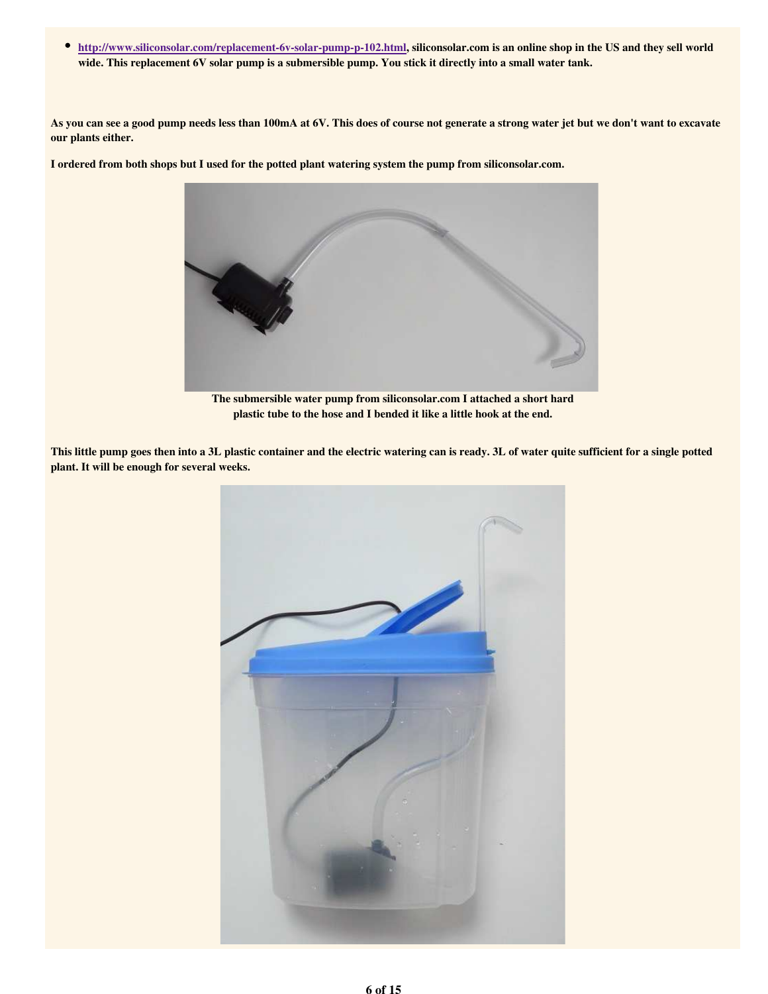http://www.siliconsolar.com/replacement-6v-solar-pump-p-102.html, siliconsolar.com is an online shop in the US and they sell world wide. This replacement 6V solar pump is a submersible pump. You stick it directly into a small water tank.

As you can see a good pump needs less than 100mA at 6V. This does of course not generate a strong water jet but we don't want to excavate our plants either.

I ordered from both shops but I used for the potted plant watering system the pump from siliconsolar.com.



The submersible water pump from siliconsolar.com I attached a short hard plastic tube to the hose and I bended it like a little hook at the end.

This little pump goes then into a 3L plastic container and the electric watering can is ready. 3L of water quite sufficient for a single potted plant. It will be enough for several weeks.

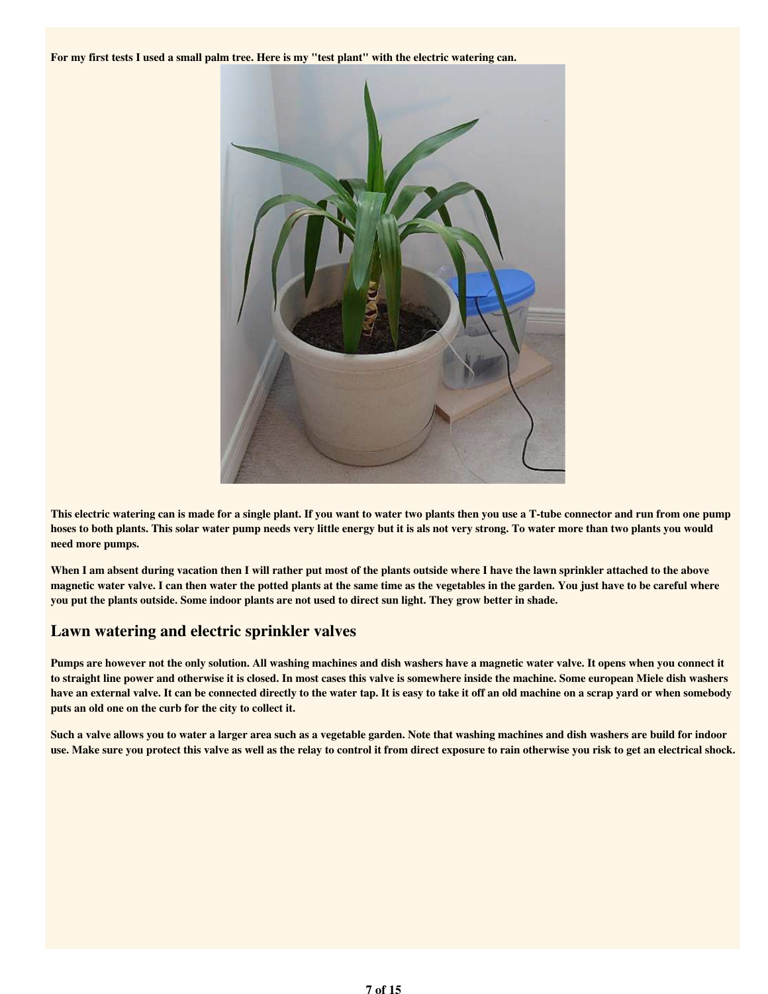For my first tests I used a small palm tree. Here is my "test plant" with the electric watering can.



This electric watering can is made for a single plant. If you want to water two plants then you use a T-tube connector and run from one pump hoses to both plants. This solar water pump needs very little energy but it is als not very strong. To water more than two plants you would need more pumps.

When I am absent during vacation then I will rather put most of the plants outside where I have the lawn sprinkler attached to the above magnetic water valve. I can then water the potted plants at the same time as the vegetables in the garden. You just have to be careful where you put the plants outside. Some indoor plants are not used to direct sun light. They grow better in shade.

## Lawn watering and electric sprinkler valves

Pumps are however not the only solution. All washing machines and dish washers have a magnetic water valve. It opens when you connect it to straight line power and otherwise it is closed. In most cases this valve is somewhere inside the machine. Some european Miele dish washers have an external valve. It can be connected directly to the water tap. It is easy to take it off an old machine on a scrap yard or when somebody puts an old one on the curb for the city to collect it.

Such a valve allows you to water a larger area such as a vegetable garden. Note that washing machines and dish washers are build for indoor use. Make sure you protect this valve as well as the relay to control it from direct exposure to rain otherwise you risk to get an electrical shock.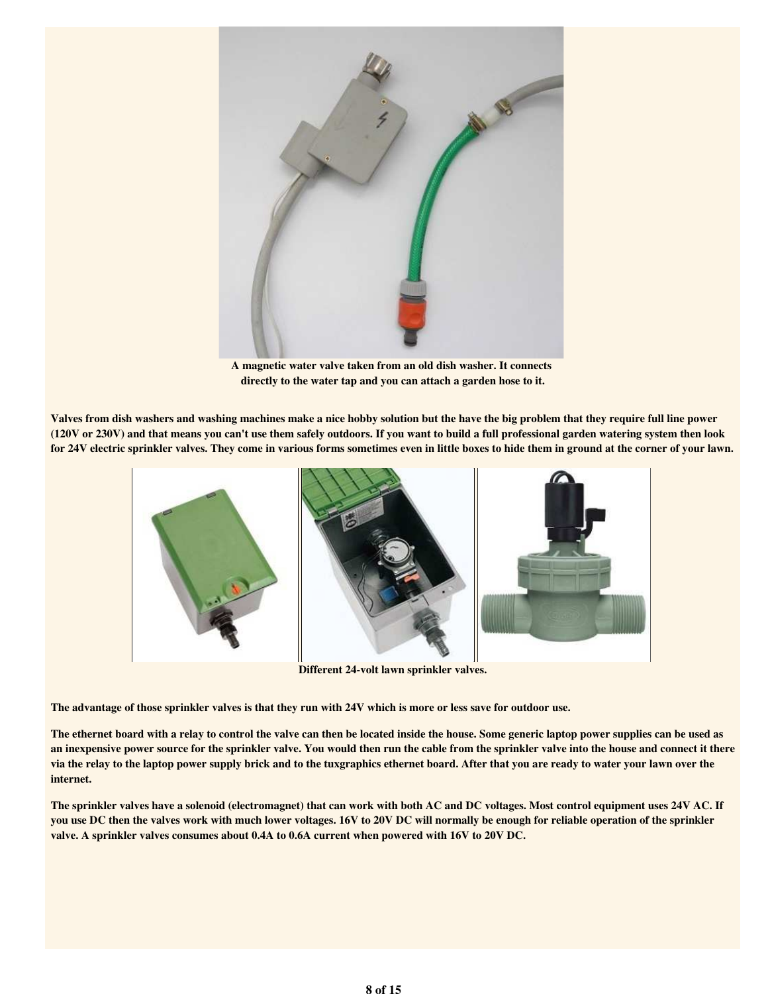

A magnetic water valve taken from an old dish washer. It connects directly to the water tap and you can attach a garden hose to it.

Valves from dish washers and washing machines make a nice hobby solution but the have the big problem that they require full line power (120V or 230V) and that means you can't use them safely outdoors. If you want to build a full professional garden watering system then look for 24V electric sprinkler valves. They come in various forms sometimes even in little boxes to hide them in ground at the corner of your lawn.



Different 24-volt lawn sprinkler valves.

The advantage of those sprinkler valves is that they run with 24V which is more or less save for outdoor use.

The ethernet board with a relay to control the valve can then be located inside the house. Some generic laptop power supplies can be used as an inexpensive power source for the sprinkler valve. You would then run the cable from the sprinkler valve into the house and connect it there via the relay to the laptop power supply brick and to the tuxgraphics ethernet board. After that you are ready to water your lawn over the internet.

The sprinkler valves have a solenoid (electromagnet) that can work with both AC and DC voltages. Most control equipment uses 24V AC. If you use DC then the valves work with much lower voltages. 16V to 20V DC will normally be enough for reliable operation of the sprinkler valve. A sprinkler valves consumes about 0.4A to 0.6A current when powered with 16V to 20V DC.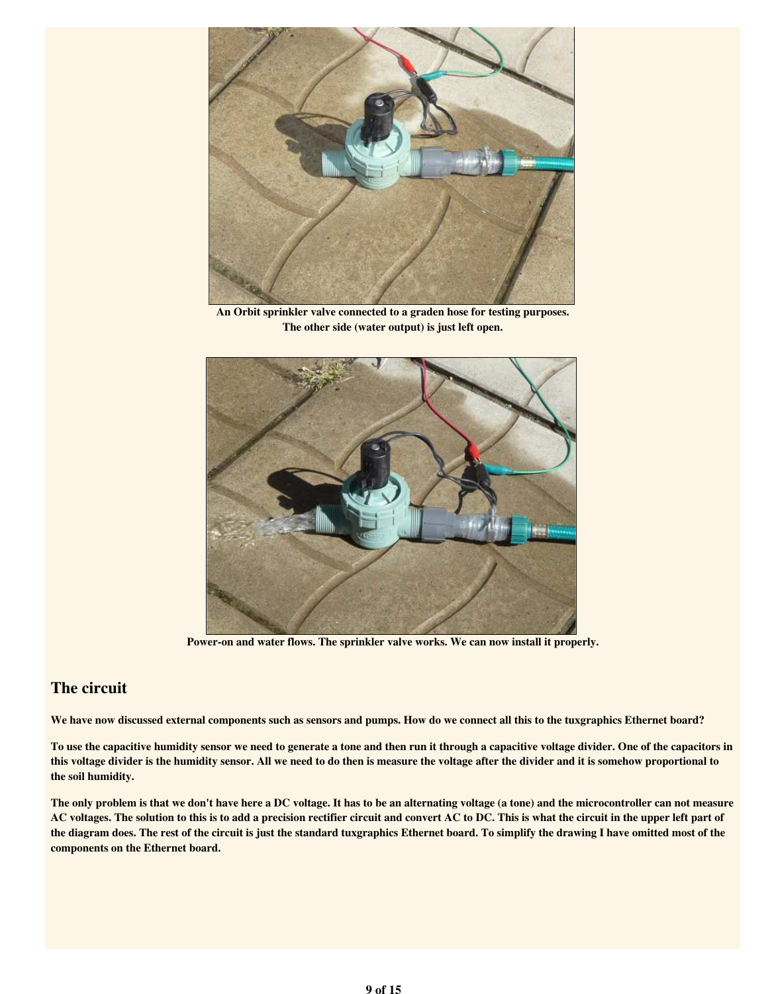

An Orbit sprinkler valve connected to a graden hose for testing purposes. The other side (water output) is just left open.



Power-on and water flows. The sprinkler valve works. We can now install it properly.

## The circuit

We have now discussed external components such as sensors and pumps. How do we connect all this to the tuxgraphics Ethernet board?

To use the capacitive humidity sensor we need to generate a tone and then run it through a capacitive voltage divider. One of the capacitors in this voltage divider is the humidity sensor. All we need to do then is measure the voltage after the divider and it is somehow proportional to the soil humidity.

The only problem is that we don't have here a DC voltage. It has to be an alternating voltage (a tone) and the microcontroller can not measure AC voltages. The solution to this is to add a precision rectifier circuit and convert AC to DC. This is what the circuit in the upper left part of the diagram does. The rest of the circuit is just the standard tuxgraphics Ethernet board. To simplify the drawing I have omitted most of the components on the Ethernet board.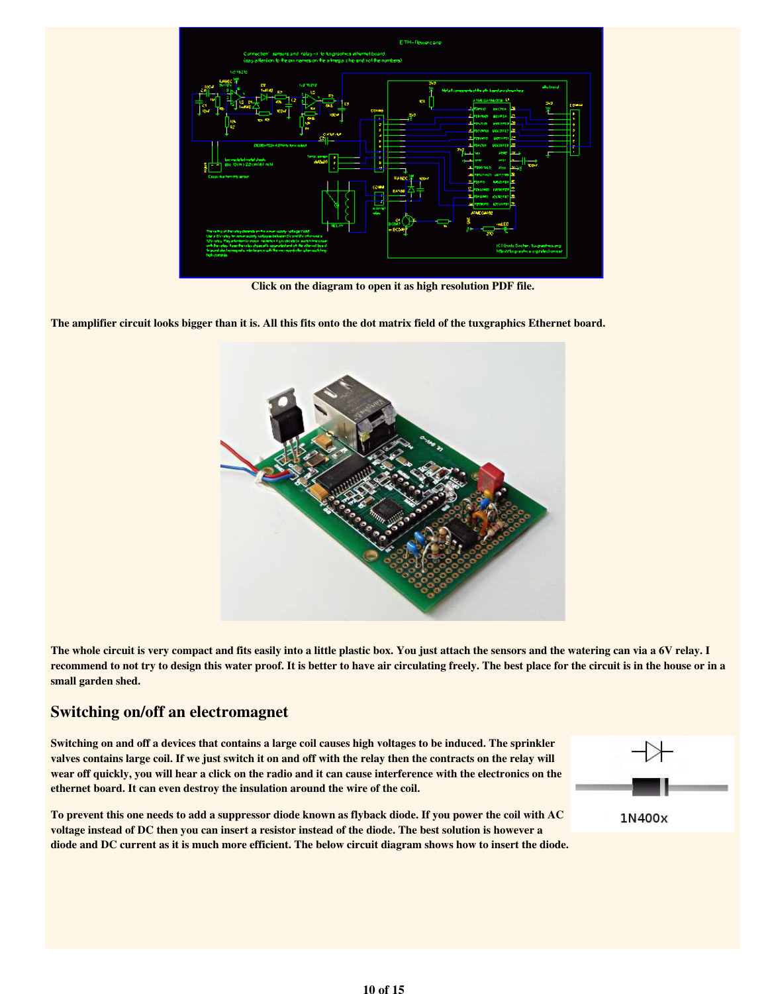

Click on the diagram to open it as high resolution PDF file.

The amplifier circuit looks bigger than it is. All this fits onto the dot matrix field of the tuxgraphics Ethernet board.



The whole circuit is very compact and fits easily into a little plastic box. You just attach the sensors and the watering can via a 6V relay. I recommend to not try to design this water proof. It is better to have air circulating freely. The best place for the circuit is in the house or in a small garden shed.

#### Switching on/off an electromagnet

Switching on and off a devices that contains a large coil causes high voltages to be induced. The sprinkler valves contains large coil. If we just switch it on and off with the relay then the contracts on the relay will wear off quickly, you will hear a click on the radio and it can cause interference with the electronics on the ethernet board. It can even destroy the insulation around the wire of the coil.

To prevent this one needs to add a suppressor diode known as flyback diode. If you power the coil with AC voltage instead of DC then you can insert a resistor instead of the diode. The best solution is however a diode and DC current as it is much more efficient. The below circuit diagram shows how to insert the diode.

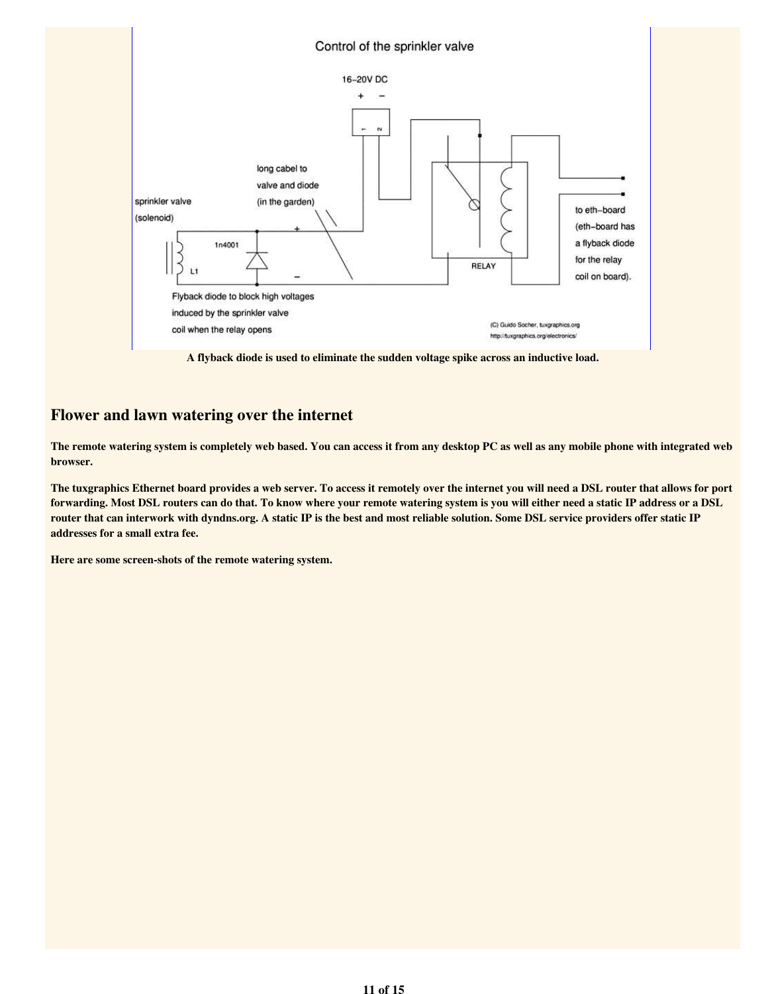

A flyback diode is used to eliminate the sudden voltage spike across an inductive load.

## Flower and lawn watering over the internet

The remote watering system is completely web based. You can access it from any desktop PC as well as any mobile phone with integrated web browser.

The tuxgraphics Ethernet board provides a web server. To access it remotely over the internet you will need a DSL router that allows for port forwarding. Most DSL routers can do that. To know where your remote watering system is you will either need a static IP address or a DSL router that can interwork with dyndns.org. A static IP is the best and most reliable solution. Some DSL service providers offer static IP addresses for a small extra fee.

Here are some screen-shots of the remote watering system.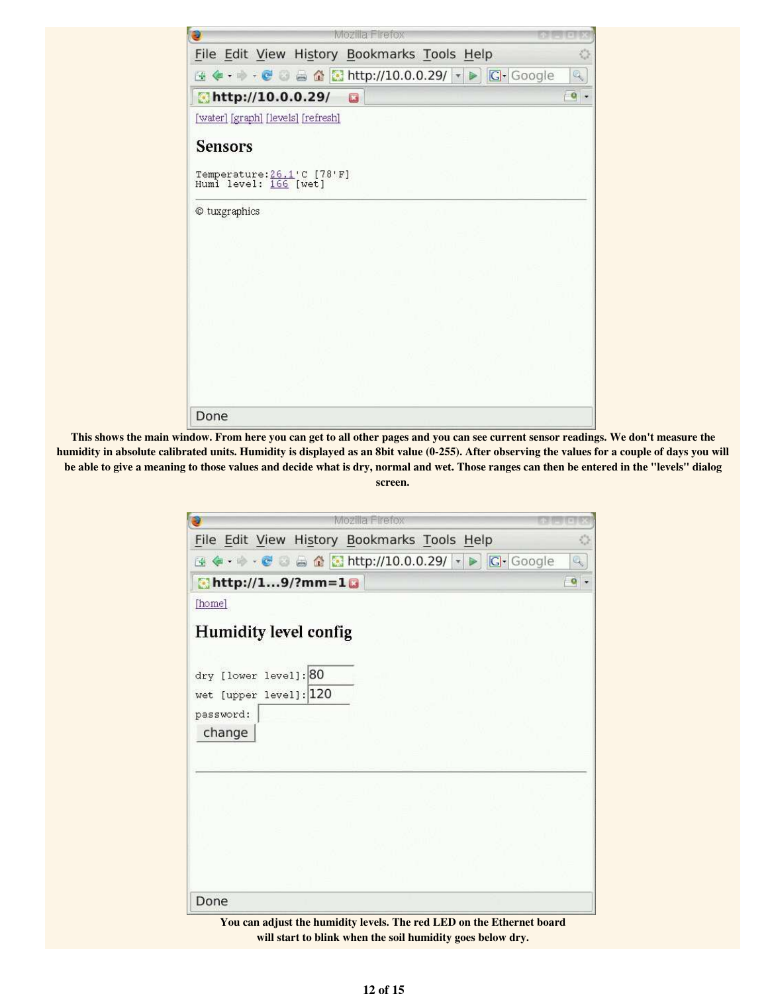| e                                                                                       |                         | Mozilla Firefox |   |  |
|-----------------------------------------------------------------------------------------|-------------------------|-----------------|---|--|
| File Edit View History Bookmarks Tools Help                                             |                         |                 |   |  |
| <b>④ ◆ ・ → ・ ● ○ △ △ <mark>●</mark> http://10.0.0.29/</b> ▼ ▶ <mark>│ G</mark> + Google |                         |                 | q |  |
| http://10.0.0.29/                                                                       | $\overline{\mathbf{z}}$ |                 | Q |  |
| [water] [graph] [levels] [refresh]                                                      |                         |                 |   |  |
| <b>Sensors</b>                                                                          |                         |                 |   |  |
| Temperature: 26.1'C [78'F]<br>Humi level: 166 [wet]                                     |                         |                 |   |  |
| © tuxgraphics                                                                           |                         |                 |   |  |
|                                                                                         |                         |                 |   |  |
|                                                                                         |                         |                 |   |  |
|                                                                                         |                         |                 |   |  |
|                                                                                         |                         |                 |   |  |
|                                                                                         |                         |                 |   |  |
|                                                                                         |                         |                 |   |  |
|                                                                                         |                         |                 |   |  |
|                                                                                         |                         |                 |   |  |
| Done                                                                                    |                         |                 |   |  |

This shows the main window. From here you can get to all other pages and you can see current sensor readings. We don't measure the humidity in absolute calibrated units. Humidity is displayed as an 8bit value (0-255). After observing the values for a couple of days you will be able to give a meaning to those values and decide what is dry, normal and wet. Those ranges can then be entered in the "levels" dialog screen.

| Đ                                               | Mozilla Firefox                                                             |           |
|-------------------------------------------------|-----------------------------------------------------------------------------|-----------|
| File Edit View History Bookmarks Tools Help     |                                                                             | o         |
|                                                 | <b>④◆ ・ → ・ ● ○ △ △ <mark>☆</mark> http://10.0.0.29/   ▼ ▶   C +</b> Google | Q,        |
| $N$ http://19/?mm=10                            |                                                                             | $\circ$ . |
| [home]                                          |                                                                             |           |
| <b>Humidity level config</b>                    |                                                                             |           |
|                                                 |                                                                             |           |
| dry [lower level]: 80<br>wet [upper level]: 120 |                                                                             |           |
| password:                                       |                                                                             |           |
| change                                          |                                                                             |           |
|                                                 |                                                                             |           |
|                                                 |                                                                             |           |
|                                                 |                                                                             |           |
|                                                 |                                                                             |           |
|                                                 |                                                                             |           |
|                                                 |                                                                             |           |
|                                                 |                                                                             |           |
| Done                                            |                                                                             |           |

You can adjust the humidity levels. The red LED on the Ethernet board will start to blink when the soil humidity goes below dry.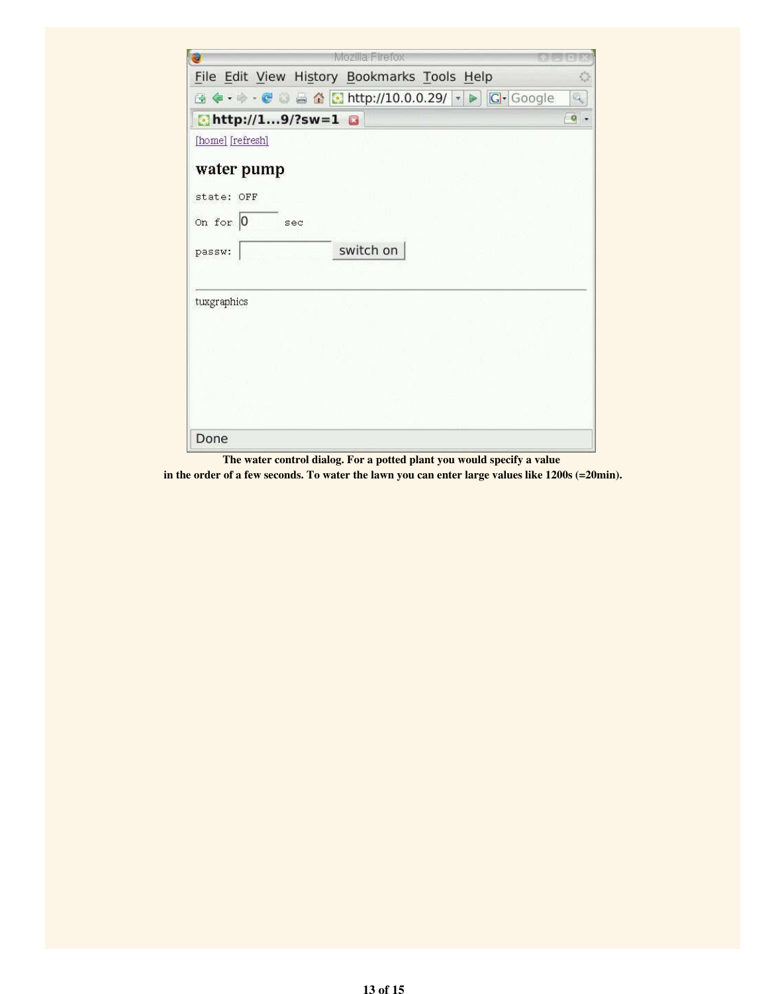| Mozilla Firefox<br>æ                                                           |                           |
|--------------------------------------------------------------------------------|---------------------------|
| File Edit View History Bookmarks Tools Help                                    | O                         |
| ④ ◆ ・ → ・ ● ◎ △ △ <mark>☆</mark> http://10.0.0.29/ ▼ ▶ <mark>○</mark> • Google | $Q_2$                     |
| $b$ http://19/?sw=1                                                            | $\overline{\mathbf{e}}$ . |
| [home] [refresh]                                                               |                           |
| water pump<br>state: OFF                                                       |                           |
| on for $ 0 $<br>sec                                                            |                           |
| switch on<br>passw:                                                            |                           |
| tuxgraphics                                                                    |                           |
|                                                                                |                           |
|                                                                                |                           |
| Done                                                                           |                           |

The water control dialog. For a potted plant you would specify a value

in the order of a few seconds. To water the lawn you can enter large values like 1200s (=20min).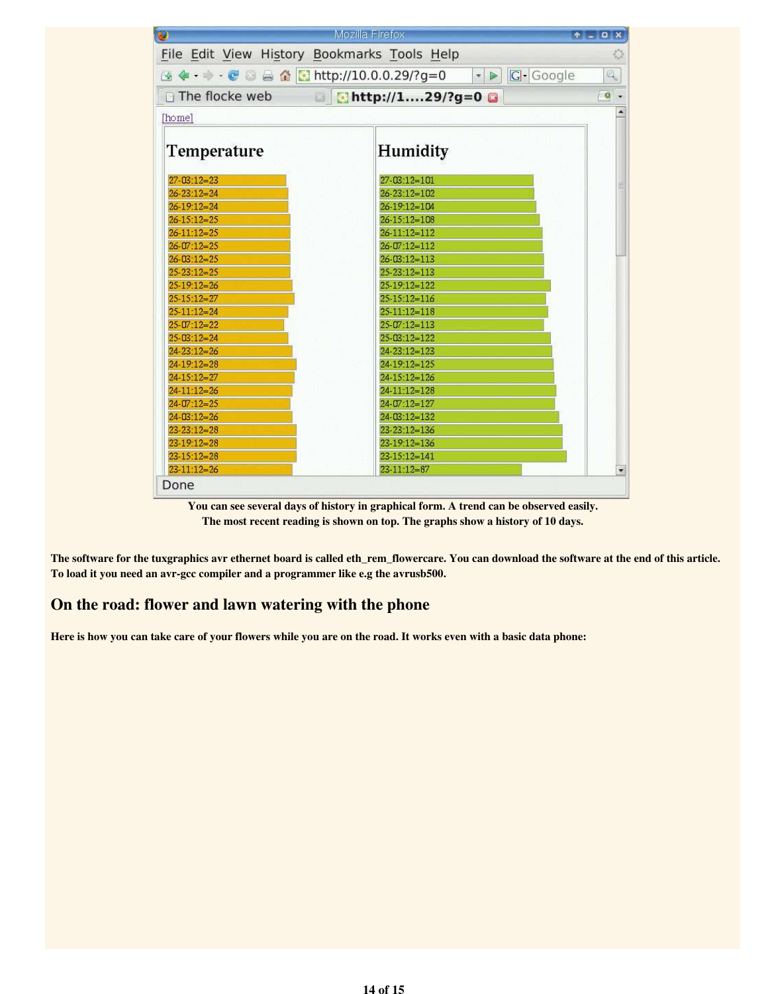| o                                           | Mozilla Firefox                   | $A = 0X$                                                          |
|---------------------------------------------|-----------------------------------|-------------------------------------------------------------------|
| File Edit View History Bookmarks Tools Help |                                   | O                                                                 |
| <b>④◆・→・●●●●●■http://10.0.0.29/?g=0</b>     | $\bullet$ $\Box$ Google           | $\mathbb{Q}_\mathbb{Q}$                                           |
|                                             |                                   |                                                                   |
|                                             | The flocke web a chttp://129/?g=0 | $\begin{array}{ c c c }\n\hline\n\text{o} & \text{ } \end{array}$ |
| [home]                                      |                                   |                                                                   |
|                                             |                                   |                                                                   |
| Temperature                                 | Humidity                          |                                                                   |
|                                             |                                   |                                                                   |
| $27 - 03 : 12 = 23$                         | $27 - 03 : 12 = 101$              |                                                                   |
| $26 - 23 \cdot 12 = 24$                     | $26 - 23 - 12 = 102$              |                                                                   |
| $26 - 19 - 12 = 24$                         | $26 - 19:12 = 104$                |                                                                   |
| $26 - 15 - 12 = 25$                         | $26 - 15 - 12 = 108$              |                                                                   |
| $26 - 11:12 = 25$                           | $26 - 11 - 12 = 112$              |                                                                   |
| $26 - 07 : 12 = 25$                         | $26 - 07:12 = 112$                |                                                                   |
| $26 - 03:12 = 25$                           | $26 - 03:12 = 113$                |                                                                   |
| $25 - 23 : 12 = 25$                         | $25 - 23 \cdot 12 = 113$          |                                                                   |
| $25-19-12=26$                               | $25-19-12=122$                    |                                                                   |
| $25-15:12=27$                               | $25-15:12=116$                    |                                                                   |
| $25-11-12=24$                               | $25 - 11 - 12 = 118$              |                                                                   |
| $25-07:12=22$                               | $25-07:12=113$                    |                                                                   |
| $25-03:12=24$                               | $25-03:12=122$                    |                                                                   |
| $24 - 23:12 = 26$                           | $24 - 23 - 12 = 123$              |                                                                   |
| $24-19:12=28$                               | $24-19:12=125$                    |                                                                   |
| $24 - 15 - 12 = 27$                         | $24 - 15 \cdot 12 = 126$          |                                                                   |
| $24 - 11 - 12 = 26$                         | $24-11:12=128$                    |                                                                   |
| $24 - 07:12 = 25$                           | 24-07:12=127                      |                                                                   |
| $24 - 03 : 12 = 26$                         | $24 - 03:12 = 132$                |                                                                   |
| $23 - 23 : 12 = 28$                         | $23 - 23 \div 12 = 136$           |                                                                   |
| $23-19:12=28$                               | $23-19:12=136$                    |                                                                   |
| $23-15:12=28$                               | $23 - 15:12 = 141$                |                                                                   |
| $23 - 11:12 = 26$                           | $23 - 11 - 12 = 87$               |                                                                   |

You can see several days of history in graphical form. A trend can be observed easily. The most recent reading is shown on top. The graphs show a history of 10 days.

The software for the tuxgraphics avr ethernet board is called eth\_rem\_flowercare. You can download the software at the end of this article. To load it you need an avr-gcc compiler and a programmer like e.g the avrusb500.

## On the road: flower and lawn watering with the phone

Here is how you can take care of your flowers while you are on the road. It works even with a basic data phone: